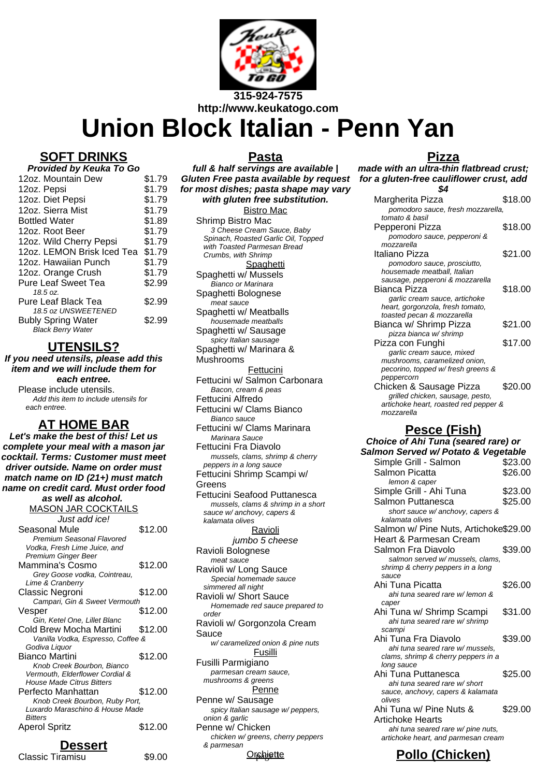

# **Union Block Italian - Penn Yan**

#### **SOFT DRINKS**

| Provided by Keuka To Go |  |  |
|-------------------------|--|--|
| \$1.79                  |  |  |
| \$1.79                  |  |  |
| \$1.79                  |  |  |
| \$1.79                  |  |  |
| \$1.89                  |  |  |
| \$1.79                  |  |  |
| \$1.79                  |  |  |
| \$1.79                  |  |  |
| \$1.79                  |  |  |
| \$1.79                  |  |  |
| \$2.99                  |  |  |
|                         |  |  |
| \$2.99                  |  |  |
| \$2.99                  |  |  |
|                         |  |  |

#### **UTENSILS?**

**If you need utensils, please add this item and we will include them for each entree.**

Please include utensils. Add this item to include utensils for each entree.

#### **AT HOME BAR**

**Let's make the best of this! Let us complete your meal with a mason jar cocktail. Terms: Customer must meet driver outside. Name on order must match name on ID (21+) must match name on credit card. Must order food as well as alcohol.** MASON JAR COCKTAILS Just add ice! Seasonal Mule \$12.00 Premium Seasonal Flavored Vodka, Fresh Lime Juice, and Premium Ginger Beer Mammina's Cosmo \$12.00 Grey Goose vodka, Cointreau, Lime & Cranberry Classic Negroni \$12.00 Campari, Gin & Sweet Vermouth Vesper \$12.00 Gin, Ketel One, Lillet Blanc Cold Brew Mocha Martini \$12.00 Vanilla Vodka, Espresso, Coffee & Godiva Liquor Bianco Martini \$12.00 Knob Creek Bourbon, Bianco Vermouth, Elderflower Cordial & House Made Citrus Bitters Perfecto Manhattan \$12.00 Knob Creek Bourbon, Ruby Port, Luxardo Maraschino & House Made **Bitters** Aperol Spritz \$12.00

## **Dessert**

Classic Tiramisu **\$9.00** 

**Pasta full & half servings are available | Gluten Free pasta available by request for most dishes; pasta shape may vary with gluten free substitution.** Bistro Mac Shrimp Bistro Mac 3 Cheese Cream Sauce, Baby Spinach, Roasted Garlic Oil, Topped with Toasted Parmesan Bread Crumbs, with Shrimp **Spaghetti** Spaghetti w/ Mussels Bianco or Marinara Spaghetti Bolognese meat sauce Spaghetti w/ Meatballs housemade meatballs Spaghetti w/ Sausage spicy Italian sausage Spaghetti w/ Marinara & Mushrooms **Fettucini** Fettucini w/ Salmon Carbonara Bacon, cream & peas Fettucini Alfredo Fettucini w/ Clams Bianco Bianco sauce Fettucini w/ Clams Marinara Marinara Sauce Fettucini Fra Diavolo mussels, clams, shrimp & cherry peppers in a long sauce Fettucini Shrimp Scampi w/ Greens Fettucini Seafood Puttanesca mussels, clams & shrimp in a short sauce w/ anchovy, capers & kalamata olives **Ravioli** jumbo 5 cheese Ravioli Bolognese meat sauce Ravioli w/ Long Sauce Special homemade sauce simmered all night Ravioli w/ Short Sauce Homemade red sauce prepared to order Ravioli w/ Gorgonzola Cream Sauce w/ caramelized onion & pine nuts Fusilli Fusilli Parmigiano parmesan cream sauce, mushrooms & greens **Penne** Penne w/ Sausage spicy Italian sausage w/ peppers, onion & garlic Penne w/ Chicken chicken w/ greens, cherry peppers & parmesan

#### **Orchiette**

#### **Pizza**

**made with an ultra-thin flatbread crust; for a gluten-free cauliflower crust, add \$4**

| Margherita Pizza                      | \$18.00 |
|---------------------------------------|---------|
| pomodoro sauce, fresh mozzarella,     |         |
| tomato & basil                        |         |
| Pepperoni Pizza                       | \$18.00 |
| pomodoro sauce, pepperoni &           |         |
| mozzarella                            |         |
| Italiano Pizza                        | \$21.00 |
| pomodoro sauce, prosciutto,           |         |
| housemade meatball, Italian           |         |
| sausage, pepperoni & mozzarella       |         |
| Bianca Pizza                          | \$18.00 |
| garlic cream sauce, artichoke         |         |
| heart, gorgonzola, fresh tomato,      |         |
| toasted pecan & mozzarella            |         |
| Bianca w/ Shrimp Pizza                | \$21.00 |
| pizza bianca w/ shrimp                |         |
| Pizza con Funghi                      | \$17.00 |
| garlic cream sauce, mixed             |         |
| mushrooms, caramelized onion,         |         |
| pecorino, topped w/fresh greens &     |         |
| peppercorn                            |         |
| Chicken & Sausage Pizza               | \$20.00 |
| grilled chicken, sausage, pesto,      |         |
| artichoke heart, roasted red pepper & |         |
| mozzarella                            |         |

#### **Pesce (Fish)**

| Choice of Ahi Tuna (seared rare) or<br>Salmon Served w/ Potato & Vegetable |         |  |
|----------------------------------------------------------------------------|---------|--|
|                                                                            |         |  |
| Salmon Picatta                                                             | \$26.00 |  |
| lemon & caper                                                              |         |  |
| Simple Grill - Ahi Tuna                                                    | \$23.00 |  |
| Salmon Puttanesca                                                          | \$25.00 |  |
| short sauce w/ anchovy, capers &                                           |         |  |
| kalamata olives                                                            |         |  |
| Salmon w/ Pine Nuts, Artichoke\$29.00                                      |         |  |
| Heart & Parmesan Cream                                                     |         |  |
| Salmon Fra Diavolo                                                         | \$39.00 |  |
| salmon served w/ mussels, clams,                                           |         |  |
| shrimp & cherry peppers in a long                                          |         |  |
| sauce<br>Ahi Tuna Picatta                                                  | \$26.00 |  |
| ahi tuna seared rare w/lemon &                                             |         |  |
| caper                                                                      |         |  |
| Ahi Tuna w/ Shrimp Scampi                                                  | \$31.00 |  |
| ahi tuna seared rare w/ shrimp                                             |         |  |
| scampi                                                                     |         |  |
| Ahi Tuna Fra Diavolo                                                       | \$39.00 |  |
| ahi tuna seared rare w/ mussels.                                           |         |  |
| clams, shrimp & cherry peppers in a<br>long sauce                          |         |  |
| Ahi Tuna Puttanesca                                                        | \$25.00 |  |
| ahi tuna seared rare w/short                                               |         |  |
| sauce, anchovy, capers & kalamata                                          |         |  |
| olives                                                                     |         |  |
| Ahi Tuna w/ Pine Nuts &                                                    | \$29.00 |  |
| Artichoke Hearts                                                           |         |  |
| ahi tuna seared rare w/ pine nuts,                                         |         |  |
| artichoke heart, and parmesan cream                                        |         |  |

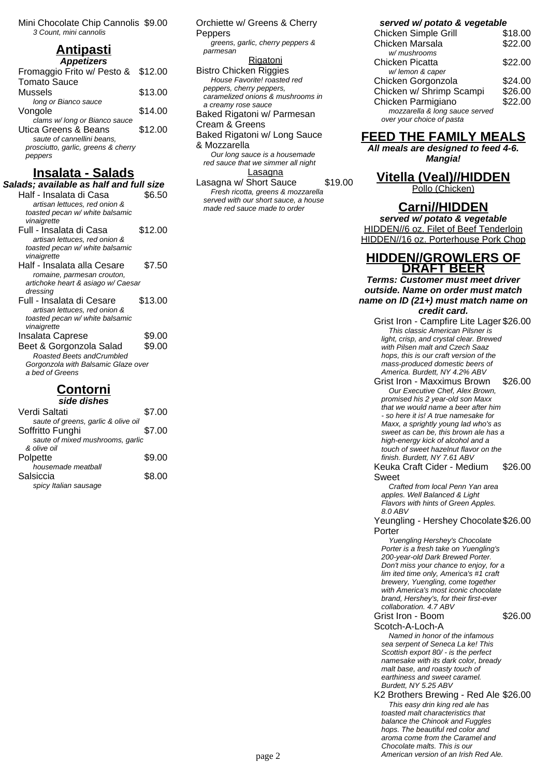Mini Chocolate Chip Cannolis \$9.00 3 Count, mini cannolis

## **Antipasti**

| <b>Appetizers</b>                   |         |
|-------------------------------------|---------|
| Fromaggio Frito w/ Pesto &          | \$12.00 |
| <b>Tomato Sauce</b>                 |         |
| Mussels                             | \$13.00 |
| long or Bianco sauce                |         |
| Vongole                             | \$14.00 |
| clams w/long or Bianco sauce        |         |
| Utica Greens & Beans                | \$12.00 |
| saute of cannellini beans.          |         |
| prosciutto, garlic, greens & cherry |         |
| oers                                |         |
|                                     |         |

#### **Insalata - Salads**

| Salads; available as half and full size                          |         |  |
|------------------------------------------------------------------|---------|--|
| Half - Insalata di Casa                                          | \$6.50  |  |
| artisan lettuces, red onion &                                    |         |  |
| toasted pecan w/ white balsamic                                  |         |  |
| vinaigrette                                                      |         |  |
| Full - Insalata di Casa                                          | \$12.00 |  |
| artisan lettuces, red onion &                                    |         |  |
| toasted pecan w/ white balsamic                                  |         |  |
| vinaigrette                                                      |         |  |
| Half - Insalata alla Cesare                                      | \$7.50  |  |
| romaine, parmesan crouton,                                       |         |  |
| artichoke heart & asiago w/ Caesar                               |         |  |
| dressing                                                         |         |  |
| Full - Insalata di Cesare                                        | \$13.00 |  |
| artisan lettuces, red onion &<br>toasted pecan w/ white balsamic |         |  |
| vinaigrette                                                      |         |  |
| Insalata Caprese                                                 | \$9.00  |  |
|                                                                  |         |  |
| Beet & Gorgonzola Salad<br>Roasted Beets and Crumbled            | \$9.00  |  |
| Gorgonzola with Balsamic Glaze over                              |         |  |
| a bed of Greens                                                  |         |  |
|                                                                  |         |  |
| المرمريم الرمزل                                                  |         |  |

#### **Contorni side dishes**

| SIUE UISHES                         |        |  |
|-------------------------------------|--------|--|
| Verdi Saltati                       | \$7.00 |  |
| saute of greens, garlic & olive oil |        |  |
| Soffritto Funghi                    | \$7.00 |  |
| saute of mixed mushrooms, garlic    |        |  |
| & olive oil                         |        |  |
| Polpette                            | \$9.00 |  |
| housemade meatball                  |        |  |
| Salsiccia                           | \$8.00 |  |
| spicy Italian sausage               |        |  |

Orchiette w/ Greens & Cherry Peppers greens, garlic, cherry peppers & parmesan **Rigatoni** Bistro Chicken Riggies House Favorite! roasted red peppers, cherry peppers, caramelized onions & mushrooms in a creamy rose sauce Baked Rigatoni w/ Parmesan Cream & Greens Baked Rigatoni w/ Long Sauce & Mozzarella Our long sauce is a housemade red sauce that we simmer all night

Lasagna Lasagna w/ Short Sauce \$19.00 Fresh ricotta, greens & mozzarella served with our short sauce, a house made red sauce made to order

**served w/ potato & vegetable**

| Chicken Simple Grill           | \$18.00 |
|--------------------------------|---------|
| Chicken Marsala                | \$22.00 |
| w/ mushrooms                   |         |
| Chicken Picatta                | \$22.00 |
| w/lemon & caper                |         |
| Chicken Gorgonzola             | \$24.00 |
| Chicken w/ Shrimp Scampi       | \$26.00 |
| Chicken Parmigiano             | \$22.00 |
| mozzarella & long sauce served |         |
| over your choice of pasta      |         |

### **FEED THE FAMILY MEALS**

**All meals are designed to feed 4-6. Mangia!**

# **Vitella (Veal)//HIDDEN**

Pollo (Chicken)

#### **Carni//HIDDEN**

**served w/ potato & vegetable** HIDDEN//6 oz. Filet of Beef Tenderloin HIDDEN//16 oz. Porterhouse Pork Chop

#### **HIDDEN//GROWLERS OF DRAFT BEER**

**Terms: Customer must meet driver outside. Name on order must match name on ID (21+) must match name on credit card.**

- Grist Iron Campfire Lite Lager \$26.00 This classic American Pilsner is light, crisp, and crystal clear. Brewed with Pilsen malt and Czech Saaz hops, this is our craft version of the mass-produced domestic beers of America. Burdett, NY 4.2% ABV
- Grist Iron Maxximus Brown \$26.00 Our Executive Chef, Alex Brown, promised his 2 year-old son Maxx that we would name a beer after him - so here it is! A true namesake for Maxx, a sprightly young lad who's as sweet as can be, this brown ale has a high-energy kick of alcohol and a touch of sweet hazelnut flavor on the finish. Burdett, NY 7.61 ABV

Keuka Craft Cider - Medium Sweet \$26.00

Crafted from local Penn Yan area apples. Well Balanced & Light Flavors with hints of Green Apples. 8.0 ABV

Yeungling - Hershey Chocolate \$26.00 Porter

Yuengling Hershey's Chocolate Porter is a fresh take on Yuengling's 200-year-old Dark Brewed Porter. Don't miss your chance to enjoy, for a lim ited time only, America's #1 craft brewery, Yuengling, come together with America's most iconic chocolate brand, Hershey's, for their first-ever collaboration. 4.7 ABV

\$26.00

Scotch-A-Loch-A Named in honor of the infamous sea serpent of Seneca La ke! This Scottish export 80/ - is the perfect namesake with its dark color, bready malt base, and roasty touch of earthiness and sweet caramel. Burdett, NY 5.25 ABV

Grist Iron - Boom

K2 Brothers Brewing - Red Ale \$26.00 This easy drin king red ale has toasted malt characteristics that balance the Chinook and Fuggles hops. The beautiful red color and aroma come from the Caramel and Chocolate malts. This is our page 2 **American version of an Irish Red Ale.**